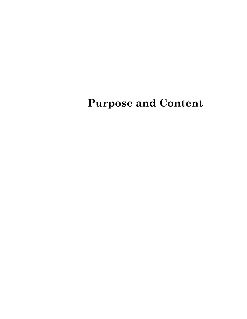# **Purpose and Content**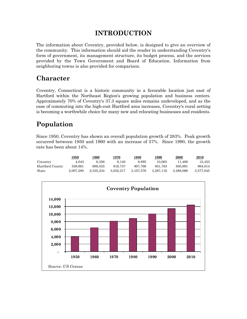### **INTRODUCTION**

The information about Coventry, provided below, is designed to give an overview of the community. This information should aid the reader in understanding Coventry's form of government, its management structure, its budget process, and the services provided by the Town Government and Board of Education. Information from neighboring towns is also provided for comparison.

### **Character**

Coventry, Connecticut is a historic community in a favorable location just east of Hartford within the Northeast Region's growing population and business centers. Approximately 70% of Coventry's 37.3 square miles remains undeveloped, and as the ease of commuting into the high-cost Hartford area increases, Coventry's rural setting is becoming a worthwhile choice for many new and relocating businesses and residents.

## **Population**

Since 1950, Coventry has shown an overall population growth of 283%. Peak growth occurred between 1950 and 1960 with an increase of 57%. Since 1990, the growth rate has been about 14%.

|                 | <u>1950</u> | 1960      | 1970      | 1980      | <u> 1990</u> | <b>2000</b> | <u>2010</u> |
|-----------------|-------------|-----------|-----------|-----------|--------------|-------------|-------------|
| Coventry        | 4.043       | 6.356     | 8.140     | 8.895     | 10.063       | 11.468      | 12.453      |
| Hartford County | 539.661     | 689.555   | 816,737   | 807.766   | 851.783      | 830.691     | 894.014     |
| State           | 2.007.280   | 2.535.234 | 3.032.217 | 3.107.576 | 3.287.116    | 3.288.066   | 3.577.845   |

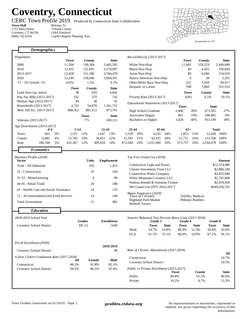## **Coventry, Connecticut**

**Town Hall** *Belongs To* 1712 Main Street Coventry, CT 06238 (860) 742-6324

r

CERC Town Profile 2019 *Produced by Connecticut Data Collaborative*

Tolland County LMA Hartford Capitol Region Planning Area



| <b>Demographics</b>                       |             |                      |           |                   |                                  |                          |                                          |              |                                                                 |                  |                |               |
|-------------------------------------------|-------------|----------------------|-----------|-------------------|----------------------------------|--------------------------|------------------------------------------|--------------|-----------------------------------------------------------------|------------------|----------------|---------------|
|                                           |             |                      |           |                   |                                  |                          |                                          |              |                                                                 |                  |                |               |
| Population                                | <b>Town</b> | County               |           | <b>State</b>      |                                  |                          | Race/Ethnicity (2013-2017)               |              | <b>Town</b>                                                     |                  | County         | <b>State</b>  |
| 2000                                      | 11,504      | 136,364<br>3,405,565 |           | White Non-Hisp    |                                  | 11,681                   |                                          | 129,519      | 2,446,049                                                       |                  |                |               |
| 2010                                      | 12,435      | 152,691              |           | 3,574,097         |                                  | <b>Black Non-Hisp</b>    |                                          |              | 69                                                              |                  | 4,425          | 350,820       |
| 2013-2017                                 | 12.458      | 151,596              |           | 3,594,478         |                                  | Asian Non-Hisp           |                                          |              | 89                                                              |                  | 6,690          | 154,910       |
| 2020                                      | 12,249      | 158,606              |           | 3,604,591         |                                  |                          | Native American Non-Hisp                 |              |                                                                 | $\boldsymbol{0}$ | 38             | 5,201         |
| '17 - '20 Growth / Yr                     | $-0.6%$     | 1.5%                 |           | 0.1%              |                                  |                          | Other/Multi-Race Non-Hisp                |              | 221                                                             |                  | 3,059          | 84,917        |
|                                           |             |                      |           |                   |                                  | Hispanic or Latino       |                                          |              | 398                                                             |                  | 7,860          | 551,916       |
|                                           | Town        | County               |           | <b>State</b>      |                                  |                          |                                          |              |                                                                 |                  |                |               |
| Land Area (sq. miles)                     | 38          | 410                  |           | 4,842             |                                  |                          |                                          |              | Town                                                            |                  | County         | <b>State</b>  |
| Pop./Sq. Mile (2013-2017)                 | 332         | 370                  |           | 742               |                                  |                          | Poverty Rate (2013-2017)                 |              | 4.0%                                                            |                  | 6.5%           | 10.1%         |
| Median Age (2013-2017)                    | 44          | 38                   |           | 41                |                                  |                          | Educational Attainment (2013-2017)       |              |                                                                 |                  |                |               |
| Households (2013-2017)                    | 4,710       | 54,878               |           | 1,361,755         |                                  |                          |                                          |              | <b>Town</b>                                                     |                  | <b>State</b>   |               |
| Med. HH Inc. (2013-2017)                  | \$88,562    | \$81,312             |           | \$73,781          |                                  |                          | <b>High School Graduate</b>              |              | 2,406                                                           | 28%              | 673,582        | 27%           |
|                                           |             | <b>Town</b>          |           | <b>State</b>      |                                  | <b>Associates Degree</b> |                                          |              | 891                                                             | 10%              | 188,481        | 8%            |
| Veterans (2013-2017)                      |             | 775                  |           | 180,111           |                                  |                          | <b>Bachelors or Higher</b>               |              | 3,420                                                           | 40%              | 953,199        | 38%           |
| Age Distribution (2013-2017)              |             |                      |           |                   |                                  |                          |                                          |              |                                                                 |                  |                |               |
| $0 - 4$                                   | $5 - 14$    |                      | $15 - 24$ |                   | $25 - 44$                        |                          | $45 - 64$                                |              | $65+$                                                           |                  |                | <b>Total</b>  |
| Town<br>661<br>5%                         | 1,551       | 12%                  | 1,647     | 13%               | 2,530                            | 20%                      | 4,216                                    | 34%          | 1,853                                                           | 15%              |                | 12,458 100%   |
| 6,081<br>4%<br>County                     | 15.785      | 10%                  | 34,051    | 22%               | 31,593                           | 21%                      | 42,335                                   | 28%<br>29%   | 21,751                                                          | 14%              |                | 151.596 100%  |
| 186,188<br>5%<br><b>State</b>             | 432,367     | 12%                  | 495,626   | 14%               | 872,640                          | 24%                      | 1,031,900                                |              | 575,757                                                         | 16%              | 3,594,478 100% |               |
| <b>Economics</b>                          |             |                      |           |                   |                                  |                          |                                          |              |                                                                 |                  |                |               |
|                                           |             |                      |           |                   |                                  |                          |                                          |              |                                                                 |                  |                |               |
| Business Profile (2018)<br><b>Sector</b>  |             | <b>Units</b>         |           | Employment        |                                  |                          | Top Five Grand List (2018)               |              |                                                                 |                  |                | <b>Amount</b> |
| Total - All Industries                    |             | 202                  |           | 1,425             |                                  |                          | Connecticut Light and Power              |              |                                                                 |                  |                | \$22,574,980  |
|                                           |             |                      |           |                   |                                  |                          | <b>Chester Investment Trust LLC</b>      |              |                                                                 |                  |                | \$2,886,100   |
| 23 - Construction                         |             | 35<br>104            |           |                   | <b>Connecticut Water Company</b> |                          |                                          |              | \$2,835,940                                                     |                  |                |               |
| 31-33 - Manufacturing                     |             | 90<br>4              |           |                   | White Mountain-Coventry LLC      |                          |                                          |              |                                                                 | \$2,795,000      |                |               |
| 44-45 - Retail Trade                      |             | 20<br>188            |           |                   | Nadeau Ronald & Jeannine Trustee |                          |                                          |              | \$2,059,450                                                     |                  |                |               |
| 62 - Health Care and Social Assistance    |             | 14                   |           | 133               |                                  |                          | Net Grand List (SFY 2016-2017)           |              |                                                                 |                  |                | \$949,436,741 |
| 72 - Accommodation and Food Services      |             | 14                   |           | 148               |                                  | Town of Coventry         | Major Employers (2018)                   |              | Teleflex Medical                                                |                  |                |               |
|                                           |             |                      |           |                   |                                  |                          | <b>Highland Park Market</b>              |              | <b>Pelletier Builders</b>                                       |                  |                |               |
| <b>Total Government</b>                   |             | 11                   |           | 482               |                                  | <b>Bidwell Tavern</b>    |                                          |              |                                                                 |                  |                |               |
| <b>Education</b>                          |             |                      |           |                   |                                  |                          |                                          |              |                                                                 |                  |                |               |
|                                           |             |                      |           |                   |                                  |                          |                                          |              |                                                                 |                  |                |               |
| 2018-2019 School Year                     |             | <b>Grades</b>        |           | <b>Enrollment</b> |                                  |                          | Grade 3                                  |              | Smarter Balanced Test Percent Above Goal (2017-2018)<br>Grade 4 |                  |                | Grade 8       |
| Coventry School District                  |             | PK-12                |           | 1649              |                                  |                          | Town                                     | <b>State</b> | Town                                                            | <b>State</b>     | Town           | <b>State</b>  |
|                                           |             |                      |           |                   | Math                             |                          | 54.7%                                    | 53.8%        | 80.9%                                                           | 51.3%            | 50.8%          | 43.0%         |
|                                           |             |                      |           |                   | $\operatorname{ELA}$             |                          | 61.5%                                    | 53.1%        | 86.0%                                                           | 54.9%            | 67.2%          | 56.1%         |
|                                           |             |                      |           |                   |                                  |                          |                                          |              |                                                                 |                  |                |               |
| Pre-K Enrollment (PSIS)                   |             |                      |           |                   |                                  |                          |                                          |              |                                                                 |                  |                |               |
|                                           |             |                      |           | 2018-2019         |                                  |                          |                                          |              |                                                                 |                  |                |               |
| <b>Coventry School District</b>           |             |                      |           | 98                |                                  |                          | Rate of Chronic Absenteeism (2017-2018)  |              |                                                                 |                  |                | All           |
| 4-Year Cohort Graduation Rate (2017-2018) |             |                      |           |                   |                                  | Connecticut              |                                          |              |                                                                 |                  |                | 10.7%         |
|                                           | All         | <b>Female</b>        |           | <b>Male</b>       |                                  |                          | <b>Coventry School District</b>          |              |                                                                 |                  |                | 10.5%         |
| 88.3%<br>Connecticut                      |             | 91.8%                |           | 85.1%             |                                  |                          |                                          |              |                                                                 |                  |                |               |
| <b>Coventry School District</b>           | 94.3%       | 96.5%                |           | 92.4%             |                                  |                          | Public vs Private Enrollment (2013-2017) |              |                                                                 |                  |                | <b>State</b>  |
|                                           |             |                      |           |                   | Public                           |                          |                                          |              | County<br>Town<br>89.8%<br>91.3%                                |                  |                | 86.8%         |
|                                           |             |                      |           |                   | Private                          |                          |                                          |              | 10.2%                                                           |                  | 8.7%           | 13.2%         |
|                                           |             |                      |           |                   |                                  |                          |                                          |              |                                                                 |                  |                |               |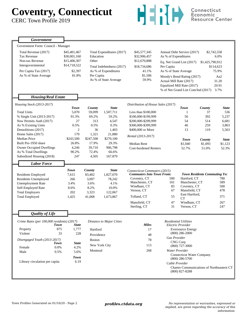# **Coventry, Connecticut**

CERC Town Profile 2019



| Government                                 |              |               |                           |                                    |                         |                                     |                                     |                                           |
|--------------------------------------------|--------------|---------------|---------------------------|------------------------------------|-------------------------|-------------------------------------|-------------------------------------|-------------------------------------------|
| Government Form: Council - Manager         |              |               |                           |                                    |                         |                                     |                                     |                                           |
| Total Revenue (2017)                       | \$45,401,467 |               | Total Expenditures (2017) | \$45,577,345                       |                         | Annual Debt Service (2017)          |                                     | \$2,742,558                               |
| <b>Tax Revenue</b>                         | \$30,001,160 | Education     |                           | \$32,906,457                       | As % of Expenditures    |                                     |                                     | 6.0%                                      |
| Non-tax Revenue                            | \$15,400,307 | Other         |                           | \$12,670,888                       |                         | Eq. Net Grand List (2017)           | \$1,425,790,912                     |                                           |
| Intergovernmental                          | \$14,718,522 |               | Total Indebtedness (2017) | \$18,734,686                       | Per Capita              |                                     |                                     | \$114,623                                 |
| Per Capita Tax (2017)                      | \$2,397      |               | As % of Expenditures      | 41.1%                              | As % of State Average   |                                     |                                     | 75.9%                                     |
| As % of State Average                      | 81.8%        | Per Capita    |                           | \$1,506                            |                         | Moody's Bond Rating (2017)          |                                     | Aa2                                       |
|                                            |              |               | As % of State Average     | 59.9%                              | Actual Mill Rate (2017) |                                     |                                     | 31.20                                     |
|                                            |              |               |                           |                                    |                         | Equalized Mill Rate (2017)          |                                     | 20.91                                     |
|                                            |              |               |                           |                                    |                         | % of Net Grand List Com/Ind (2017)  |                                     | 3.7%                                      |
| <b>Housing/Real Estate</b>                 |              |               |                           |                                    |                         |                                     |                                     |                                           |
|                                            |              |               |                           |                                    |                         |                                     |                                     |                                           |
| Housing Stock (2013-2017)                  | Town         | County        | <b>State</b>              | Distribution of House Sales (2017) |                         | <b>Town</b>                         | County                              | State                                     |
| <b>Total Units</b>                         | 5,070        | 59,099        | 1,507,711                 | Less than \$100,000                |                         | $\mathbf{1}$                        | 37                                  | 536                                       |
| % Single Unit (2013-2017)                  | 91.3%        | 69.2%         | 59.2%                     | \$100,000-\$199,999                |                         | 56                                  | 392                                 | 5,237                                     |
| New Permits Auth (2017)                    | 27           | 313           | 4,547                     | \$200,000-\$299,999                |                         | 54                                  | 514                                 | 6,681                                     |
| As % Existing Units                        | 0.5%         | 0.5%          | 0.3%                      | \$300,000-\$399,999                |                         | 46                                  | 259                                 | 3,863                                     |
| Demolitions (2017)                         | 2            | 36            | 1,403                     | \$400,000 or More                  |                         | 13                                  | 119                                 | 5,563                                     |
| Home Sales (2017)                          | 170          | 1,321         | 21,880                    | Rental (2013-2017)                 |                         |                                     |                                     |                                           |
| <b>Median Price</b>                        | \$243,500    | \$247,500     | \$270,100                 |                                    |                         | <b>Town</b>                         | County                              | <b>State</b>                              |
| Built Pre-1950 share                       | 26.8%        | 17.9%         | 29.3%                     | <b>Median Rent</b>                 |                         | \$1,040                             | \$1,093                             | \$1,123                                   |
| <b>Owner Occupied Dwellings</b>            | 4,246        | 39,710        | 906,798                   | <b>Cost-burdened Renters</b>       |                         | 52.7%                               | 51.0%                               | 52.3%                                     |
| As % Total Dwellings                       | 90.2%        | 72.4%         | 66.6%                     |                                    |                         |                                     |                                     |                                           |
| Subsidized Housing (2018)                  | 247          | 4,505         | 167,879                   |                                    |                         |                                     |                                     |                                           |
| <b>Labor Force</b>                         |              |               |                           |                                    |                         |                                     |                                     |                                           |
|                                            | <b>Town</b>  | County        | <b>State</b>              | Connecticut Commuters (2015)       |                         |                                     |                                     |                                           |
| Residents Employed                         | 7,615        | 83,402        | 1,827,070                 | <b>Commuters Into Town From:</b>   |                         |                                     | <b>Town Residents Commuting To:</b> |                                           |
| Residents Unemployed                       | 266          | 3,097         | 78,242                    | Coventry, CT                       | 500                     | Hartford, CT                        |                                     | 780                                       |
| <b>Unemployment Rate</b>                   | 3.4%         | 3.6%          | 4.1%                      | Manchester, CT<br>Windham, CT      | 101                     | Manchester, CT                      |                                     | 589<br>500                                |
| Self-Employed Rate                         | 8.6%         | 8.2%          | 10.0%                     | Vernon, CT                         | 85<br>67                | Coventry, CT<br>Mansfield, CT       |                                     | 478                                       |
| <b>Total Employers</b>                     | 202          | 3,323         | 122,067                   |                                    |                         | East Hartford,                      |                                     |                                           |
| <b>Total Employed</b>                      | 1,425        | 41,068        | 1,673,867                 | Tolland, CT                        | 55                      | <b>CT</b>                           |                                     | 371                                       |
|                                            |              |               |                           | Mansfield, CT                      | 47                      | Windham, CT                         |                                     | 267                                       |
|                                            |              |               |                           | Sterling, CT                       | 31                      | Vernon, CT                          |                                     | 247                                       |
| <b>Quality of Life</b>                     |              |               |                           |                                    |                         |                                     |                                     |                                           |
| Crime Rates (per 100,000 residents) (2017) |              |               | Distance to Major Cities  |                                    |                         | <b>Residential Utilities</b>        |                                     |                                           |
| Town                                       | <b>State</b> |               |                           | <b>Miles</b>                       |                         | Electric Provider                   |                                     |                                           |
| 875<br>Property                            | 1,777        | Hartford      |                           | 17                                 |                         | <b>Eversource Energy</b>            |                                     |                                           |
| Violent<br>33                              | 228          | Providence    |                           | 48                                 |                         | $(800)$ 286-2000                    |                                     |                                           |
| Disengaged Youth (2013-2017)               |              | <b>Boston</b> |                           | 78                                 | <b>Gas Provider</b>     |                                     |                                     |                                           |
| Town                                       | State        | New York City |                           | 113                                |                         | <b>CNG Corp</b><br>$(860)$ 727-3000 |                                     |                                           |
| 0.0%<br>Female                             | 4.2%         | Montreal      |                           | 268                                | Water Provider          |                                     |                                     |                                           |
| Male<br>0.5%                               | 5.6%         |               |                           |                                    |                         | <b>Connecticut Water Company</b>    |                                     |                                           |
|                                            | Town         |               |                           |                                    |                         | $(800)$ 286-5700                    |                                     |                                           |
| Library circulation per capita             | 6.19         |               |                           |                                    | Cable Provider          |                                     |                                     |                                           |
|                                            |              |               |                           |                                    |                         |                                     |                                     | Charter Communications of Northeastern CT |
|                                            |              |               |                           |                                    |                         | $(800)$ 827-8288                    |                                     |                                           |
|                                            |              |               |                           |                                    |                         |                                     |                                     |                                           |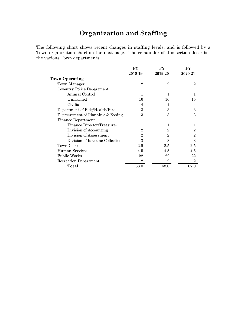### **Organization and Staffing**

The following chart shows recent changes in staffing levels, and is followed by a Town organization chart on the next page. The remainder of this section describes the various Town departments.

|                                   | FY             | FY             | FY             |
|-----------------------------------|----------------|----------------|----------------|
|                                   | 2018-19        | 2019-20        | 2020-21        |
| Town Operating                    |                |                |                |
| Town Manager                      | $\overline{2}$ | $\overline{2}$ | $\overline{2}$ |
| Coventry Police Department        |                |                |                |
| Animal Control                    | 1              | 1              |                |
| Uniformed                         | 16             | 16             | 15             |
| Civilian                          | 4              | 4              | 4              |
| Department of Bldg/Health/Fire    | 3              | 3              | 3              |
| Deprtartment of Planning & Zoning | 3              | 3              | 3              |
| <b>Finance Department</b>         |                |                |                |
| Finance Director/Treasurer        | 1              | 1              |                |
| Division of Accounting            | $\overline{2}$ | $\overline{2}$ | $\overline{2}$ |
| Division of Assessment            | $\overline{2}$ | $\overline{2}$ | $\overline{2}$ |
| Division of Reveune Collection    | 3              | 3              | 3              |
| Town Clerk                        | 2.5            | 2.5            | 2.5            |
| Human Services                    | 4.5            | 4.5            | 4.5            |
| Public Works                      | 22             | 22             | 22             |
| Recreation Department             | $\overline{2}$ | $\overline{2}$ | $\overline{2}$ |
| Total                             | 68.0           | 68.0           | 67.0           |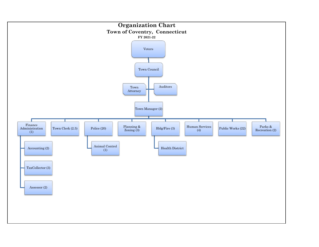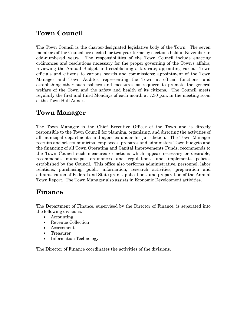### **Town Council**

The Town Council is the charter-designated legislative body of the Town. The seven members of the Council are elected for two-year terms by elections held in November in odd-numbered years. The responsibilities of the Town Council include enacting ordinances and resolutions necessary for the proper governing of the Town's affairs; reviewing the Annual Budget and establishing a tax rate; appointing various Town officials and citizens to various boards and commissions; appointment of the Town Manager and Town Auditor; representing the Town at official functions; and establishing other such policies and measures as required to promote the general welfare of the Town and the safety and health of its citizens. The Council meets regularly the first and third Mondays of each month at 7:30 p.m. in the meeting room of the Town Hall Annex.

### **Town Manager**

The Town Manager is the Chief Executive Officer of the Town and is directly responsible to the Town Council for planning, organizing, and directing the activities of all municipal departments and agencies under his jurisdiction. The Town Manager recruits and selects municipal employees, prepares and administers Town budgets and the financing of all Town Operating and Capital Improvements Funds, recommends to the Town Council such measures or actions which appear necessary or desirable, recommends municipal ordinances and regulations, and implements policies established by the Council. This office also performs administrative, personnel, labor relations, purchasing, public information, research activities, preparation and administration of Federal and State grant applications, and preparation of the Annual Town Report. The Town Manager also assists in Economic Development activities.

### **Finance**

The Department of Finance, supervised by the Director of Finance, is separated into the following divisions:

- Accounting
- Revenue Collection
- Assessment
- Treasurer
- Information Technology

The Director of Finance coordinates the activities of the divisions.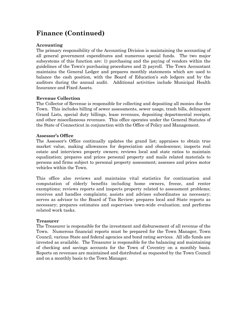### **Finance (Continued)**

#### **Accounting**

The primary responsibility of the Accounting Division is maintaining the accounting of all general government expenditures and numerous special funds. The two major subsystems of this function are: 1) purchasing and the paying of vendors within the guidelines of the Town's purchasing procedures and 2) payroll. The Town Accountant maintains the General Ledger and prepares monthly statements which are used to balance the cash position, with the Board of Education's sub ledgers and by the auditors during the annual audit. Additional activities include Municipal Health Insurance and Fixed Assets.

#### **Revenue Collection**

The Collector of Revenue is responsible for collecting and depositing all monies due the Town. This includes billing of sewer assessments, sewer usage, trash bills, delinquent Grand Lists, special duty billings, lease revenues, depositing departmental receipts, and other miscellaneous revenues. This office operates under the General Statutes of the State of Connecticut in conjunction with the Office of Policy and Management.

#### **Assessor's Office**

The Assessor's Office continually updates the grand list; appraises to obtain true market value, making allowances for depreciation and obsolescence; inspects real estate and interviews property owners; reviews local and state ratios to maintain equalization; prepares and prices personal property and mails related materials to persons and firms subject to personal property assessment; assesses and prices motor vehicles within the Town.

This office also reviews and maintains vital statistics for continuation and computation of elderly benefits including home owners, freeze, and renter exemptions; reviews reports and inspects property related to assessment problems; receives and handles complaints; assists and advises subordinates as necessary; serves as advisor to the Board of Tax Review; prepares local and State reports as necessary; prepares estimates and supervises town-wide evaluation; and performs related work tasks.

#### **Treasurer**

The Treasurer is responsible for the investment and disbursement of all revenue of the Town. Numerous financial reports must be prepared for the Town Manager, Town Council, various State and federal agencies and bond rating services. All idle funds are invested as available. The Treasurer is responsible for the balancing and maintaining of checking and savings accounts for the Town of Coventry on a monthly basis. Reports on revenues are maintained and distributed as requested by the Town Council and on a monthly basis to the Town Manager.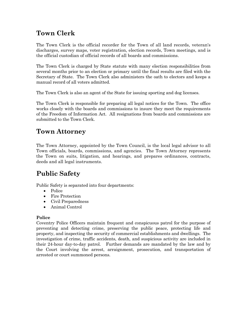### **Town Clerk**

The Town Clerk is the official recorder for the Town of all land records, veteran's discharges, survey maps, voter registration, election records, Town meetings, and is the official custodian of official records of all boards and commissions.

The Town Clerk is charged by State statute with many election responsibilities from several months prior to an election or primary until the final results are filed with the Secretary of State. The Town Clerk also administers the oath to electors and keeps a manual record of all voters admitted.

The Town Clerk is also an agent of the State for issuing sporting and dog licenses.

The Town Clerk is responsible for preparing all legal notices for the Town. The office works closely with the boards and commissions to insure they meet the requirements of the Freedom of Information Act. All resignations from boards and commissions are submitted to the Town Clerk.

### **Town Attorney**

The Town Attorney, appointed by the Town Council, is the local legal advisor to all Town officials, boards, commissions, and agencies. The Town Attorney represents the Town on suits, litigation, and hearings, and prepares ordinances, contracts, deeds and all legal instruments.

### **Public Safety**

Public Safety is separated into four departments:

- Police
- Fire Protection
- Civil Preparedness
- Animal Control

#### **Police**

Coventry Police Officers maintain frequent and conspicuous patrol for the purpose of preventing and detecting crime, preserving the public peace, protecting life and property, and inspecting the security of commercial establishments and dwellings. The investigation of crime, traffic accidents, death, and suspicious activity are included in their 24-hour day-to-day patrol. Further demands are mandated by the law and by the Court involving the arrest, arraignment, prosecution, and transportation of arrested or court summoned persons.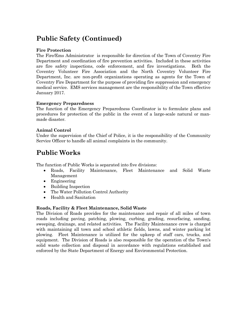### **Public Safety (Continued)**

#### **Fire Protection**

The Fire/Ems Administrator is responsible for direction of the Town of Coventry Fire Department and coordination of fire prevention activities. Included in these activities are fire safety inspections, code enforcement, and fire investigations. Both the Coventry Volunteer Fire Association and the North Coventry Volunteer Fire Department, Inc. are non-profit organizations operating as agents for the Town of Coventry Fire Department for the purpose of providing fire suppression and emergency medical service. EMS services management are the responsibility of the Town effective January 2017.

#### **Emergency Preparedness**

The function of the Emergency Preparedness Coordinator is to formulate plans and procedures for protection of the public in the event of a large-scale natural or manmade disaster.

#### **Animal Control**

Under the supervision of the Chief of Police, it is the responsibility of the Community Service Officer to handle all animal complaints in the community.

### **Public Works**

The function of Public Works is separated into five divisions:

- Roads, Facility Maintenance, Fleet Maintenance and Solid Waste Management
- Engineering
- Building Inspection
- The Water Pollution Control Authority
- Health and Sanitation

#### **Roads, Facility & Fleet Maintenance, Solid Waste**

The Division of Roads provides for the maintenance and repair of all miles of town roads including paving, patching, plowing, curbing, grading, resurfacing, sanding, sweeping, drainage, and related activities. The Facility Maintenance crew is charged with maintaining all town and school athletic fields, lawns, and winter parking lot plowing. Fleet Maintenance is utilized for the upkeep of staff cars, trucks, and equipment. The Division of Roads is also responsible for the operation of the Town's solid waste collection and disposal in accordance with regulations established and enforced by the State Department of Energy and Environmental Protection.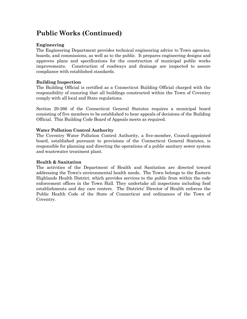### **Public Works (Continued)**

#### **Engineering**

The Engineering Department provides technical engineering advice to Town agencies, boards, and commissions, as well as to the public. It prepares engineering designs and approves plans and specifications for the construction of municipal public works improvements. Construction of roadways and drainage are inspected to assure compliance with established standards.

#### **Building Inspection**

The Building Official is certified as a Connecticut Building Official charged with the responsibility of ensuring that all buildings constructed within the Town of Coventry comply with all local and State regulations.

Section 29-266 of the Connecticut General Statutes requires a municipal board consisting of five members to be established to hear appeals of decisions of the Building Official. This Building Code Board of Appeals meets as required.

#### **Water Pollution Control Authority**

The Coventry Water Pollution Control Authority, a five-member, Council-appointed board, established pursuant to provisions of the Connecticut General Statutes, is responsible for planning and directing the operations of a public sanitary sewer system and wastewater treatment plant.

#### **Health & Sanitation**

The activities of the Department of Health and Sanitation are directed toward addressing the Town's environmental health needs. The Town belongs to the Eastern Highlands Health District, which provides services to the public from within the code enforcement offices in the Town Hall. They undertake all inspections including food establishments and day care centers. The Districts' Director of Health enforces the Public Health Code of the State of Connecticut and ordinances of the Town of Coventry.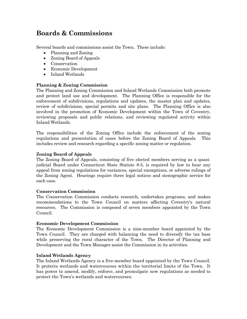### **Boards & Commissions**

Several boards and commissions assist the Town. These include:

- Planning and Zoning
- Zoning Board of Appeals
- Conservation
- Economic Development
- Inland Wetlands

#### **Planning & Zoning Commission**

The Planning and Zoning Commission and Inland Wetlands Commission both promote and protect land use and development. The Planning Office is responsible for the enforcement of subdivisions, regulations and updates, the master plan and updates, review of subdivisions, special permits and site plans. The Planning Office is also involved in the promotion of Economic Development within the Town of Coventry, reviewing proposals and public relations, and reviewing regulated activity within Inland Wetlands.

The responsibilities of the Zoning Office include the enforcement of the zoning regulations and presentation of cases before the Zoning Board of Appeals. This includes review and research regarding a specific zoning matter or regulation.

#### **Zoning Board of Appeals**

The Zoning Board of Appeals, consisting of five elected members serving as a quasijudicial Board under Connecticut State Statute 8-5, is required by law to hear any appeal from zoning regulations for variances, special exemptions, or adverse rulings of the Zoning Agent. Hearings require three legal notices and stenographic service for each case.

#### **Conservation Commission**

The Conservation Commission conducts research, undertakes programs, and makes recommendations to the Town Council on matters affecting Coventry's natural resources. The Commission is composed of seven members appointed by the Town Council.

#### **Economic Development Commission**

The Economic Development Commission is a nine-member board appointed by the Town Council. They are charged with balancing the need to diversify the tax base while preserving the rural character of the Town. The Director of Planning and Development and the Town Manager assist the Commission in its activities.

#### **Inland Wetlands Agency**

The Inland Wetlands Agency is a five-member board appointed by the Town Council. It protects wetlands and watercourses within the territorial limits of the Town. It has power to amend, modify, enforce, and promulgate new regulations as needed to protect the Town's wetlands and watercourses.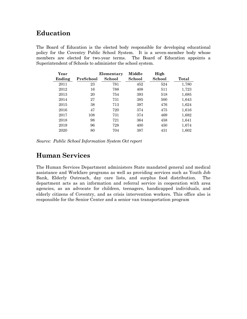### **Education**

The Board of Education is the elected body responsible for developing educational policy for the Coventry Public School System. It is a seven-member body whose members are elected for two-year terms. The Board of Education appoints a Superintendent of Schools to administer the school system.

| Year   |           | Elementary | Middle | High   |       |
|--------|-----------|------------|--------|--------|-------|
| Ending | PreSchool | School     | School | School | Total |
| 2011   | 23        | 781        | 452    | 524    | 1,780 |
| 2012   | 16        | 788        | 408    | 511    | 1,723 |
| 2013   | 20        | 754        | 393    | 518    | 1,685 |
| 2014   | 27        | 731        | 385    | 500    | 1,643 |
| 2015   | 38        | 713        | 397    | 476    | 1,624 |
| 2016   | 47        | 720        | 374    | 475    | 1,616 |
| 2017   | 108       | 731        | 374    | 469    | 1,682 |
| 2018   | 98        | 721        | 364    | 458    | 1,641 |
| 2019   | 96        | 728        | 400    | 450    | 1,674 |
| 2020   | 80        | 704        | 387    | 431    | 1.602 |

*Source: Public School Information System Oct report* 

### **Human Services**

The Human Services Department administers State mandated general and medical assistance and Workfare programs as well as providing services such as Youth Job Bank, Elderly Outreach, day care lists, and surplus food distribution. The department acts as an information and referral service in cooperation with area agencies, as an advocate for children, teenagers, handicapped individuals, and elderly citizens of Coventry, and as crisis intervention workers. This office also is responsible for the Senior Center and a senior van transportation program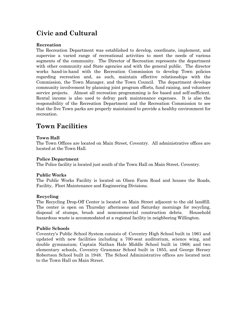## **Civic and Cultural**

#### **Recreation**

The Recreation Department was established to develop, coordinate, implement, and supervise a varied range of recreational activities to meet the needs of various segments of the community. The Director of Recreation represents the department with other community and State agencies and with the general public. The director works hand-in-hand with the Recreation Commission to develop Town policies regarding recreation and, as such, maintain effective relationships with the Commission, the Town Manager, and the Town Council. The department develops community involvement by planning joint program efforts, fund raising, and volunteer service projects. Almost all recreation programming is fee based and self-sufficient. Rental income is also used to defray park maintenance expenses. It is also the responsibility of the Recreation Department and the Recreation Commission to see that the five Town parks are properly maintained to provide a healthy environment for recreation.

### **Town Facilities**

#### **Town Hall**

The Town Offices are located on Main Street, Coventry. All administrative offices are located at the Town Hall.

#### **Police Department**

The Police facility is located just south of the Town Hall on Main Street, Coventry.

#### **Public Works**

The Public Works Facility is located on Olsen Farm Road and houses the Roads, Facility, Fleet Maintenance and Engineering Divisions.

#### **Recycling**

The Recycling Drop-Off Center is located on Main Street adjacent to the old landfill. The center is open on Thursday afternoons and Saturday mornings for recycling, disposal of stumps, brush and noncommercial construction debris. Household hazardous waste is accommodated at a regional facility in neighboring Willington.

#### **Public Schools**

Coventry's Public School System consists of: Coventry High School built in 1961 and updated with new facilities including a 700-seat auditorium, science wing, and double gymnasium; Captain Nathan Hale Middle School built in 1968; and two elementary schools, Coventry Grammar School built in 1955, and George Hersey Robertson School built in 1948. The School Administrative offices are located next to the Town Hall on Main Street.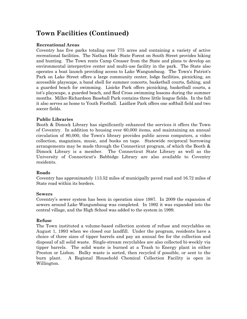### **Town Facilities (Continued)**

#### **Recreational Areas**

Coventry has five parks totaling over 775 acres and containing a variety of active recreational facilities. The Nathan Hale State Forest on South Street provides hiking and hunting. The Town rents Camp Creaser from the State and plans to develop an environmental interpretive center and multi-use facility in the park. The State also operates a boat launch providing access to Lake Wangumbaug. The Town's Patriot's Park on Lake Street offers a large community center, lodge facilities, picnicking, an accessible playscape, a band shell for summer concerts, basketball courts, fishing, and a guarded beach for swimming. Lisicke Park offers picnicking, basketball courts, a tot's playscape, a guarded beach, and Red Cross swimming lessons during the summer months. Miller-Richardson Baseball Park contains three little league fields. In the fall it also serves as home to Youth Football. Laidlaw Park offers one softball field and two soccer fields.

#### **Public Libraries**

Booth & Dimock Library has significantly enhanced the services it offers the Town of Coventry. In addition to housing over 60,000 items, and maintaining an annual circulation of 80,000, the Town's library provides public access computers, a video collection, magazines, music, and books on tape. Statewide reciprocal borrowing arrangements may be made through the Connecticut program, of which the Booth & Dimock Library is a member. The Connecticut State Library as well as the University of Connecticut's Babbidge Library are also available to Coventry residents.

#### **Roads**

Coventry has approximately 113.52 miles of municipally paved road and 16.72 miles of State road within its borders.

#### **Sewers**

Coventry's sewer system has been in operation since 1987. In 2009 the expansion of sewers around Lake Wangumbaug was completed. In 1992 it was expanded into the central village, and the High School was added to the system in 1999.

#### **Refuse**

The Town instituted a volume-based collection system of refuse and recyclables on August 1, 1993 when we closed our landfill. Under the program, residents have a choice of three sizes of tipper barrels and pay an annual fee for the collection and disposal of all solid waste. Single-stream recyclables are also collected bi-weekly via tipper barrels. The solid waste is burned at a Trash to Energy plant in either Preston or Lisbon. Bulky waste is sorted, then recycled if possible, or sent to the burn plant. A Regional Household Chemical Collection Facility is open in Willington.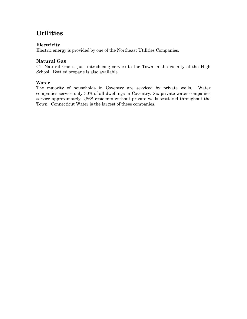### **Utilities**

#### **Electricity**

Electric energy is provided by one of the Northeast Utilities Companies.

### **Natural Gas**

CT Natural Gas is just introducing service to the Town in the vicinity of the High School. Bottled propane is also available.

#### **Water**

The majority of households in Coventry are serviced by private wells. Water companies service only 30% of all dwellings in Coventry. Six private water companies service approximately 2,868 residents without private wells scattered throughout the Town. Connecticut Water is the largest of these companies.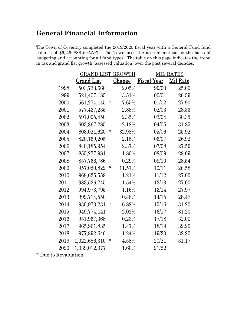### **General Financial Information**

The Town of Coventry completed the 2019/2020 fiscal year with a General Fund fund balance of \$6,229,888 (GAAP). The Town uses the accrual method as the basis of budgeting and accounting for all fund types. The table on this page indicates the trend in tax and grand list growth (assessed valuation) over the past several decades.

|          | <b>GRAND LIST GROWTH</b> |        |               | <b>MIL RATES</b>   |           |  |
|----------|--------------------------|--------|---------------|--------------------|-----------|--|
|          | Grand List               |        | <u>Change</u> | <b>Fiscal Year</b> | Mil Rate  |  |
| 1998     | 503,733,660              |        | $2.05\%$      | 99/00              | 25.00     |  |
| 1999     | 521,407,185              |        | 3.51%         | 00/01              | $26.59\,$ |  |
| 2000     | 561,274,145              | *      | 7.65%         | 01/02              | 27.90     |  |
| $2001\,$ | 577,437,235              |        | 2.88%         | 02/03              | 28.33     |  |
| 2002     | 591,005,450              |        | $2.35\%$      | 03/04              | 30.35     |  |
| 2003     | 603,867,285              |        | $2.18\%$      | 04/05              | 31.85     |  |
| $2004\,$ | 803,021,620              | *      | 32.98%        | 05/06              | $25.92\,$ |  |
| 2005     | 820, 169, 205            |        | 2.15%         | 06/07              | 26.92     |  |
| $2006\,$ | 840,185,954              |        | 2.37%         | 07/08              | 27.59     |  |
| 2007     | 855,277,981              |        | 1.80%         | 08/09              | 28.09     |  |
| $2008\,$ | 857,766,786              |        | $0.29\%$      | 09/10              | $28.54\,$ |  |
| 2009     | 957,020,822              | *      | 11.57%        | 10/11              | $26.58\,$ |  |
| 2010     | 968, 625, 559            |        | 1.21%         | 11/12              | $27.00\,$ |  |
| $2011\,$ | 983,526,745              |        | 1.54%         | 12/13              | 27.00     |  |
| 2012     | 994,973,795              |        | 1.16%         | 13/14              | 27.97     |  |
| 2013     | 999,714,550              |        | 0.48%         | 14/15              | 28.47     |  |
| 2014     | 930,973,231              | $\ast$ | $-6.88\%$     | 15/16              | 31.20     |  |
| $2015\,$ | 949,774,141              |        | 2.02%         | 16/17              | 31.20     |  |
| $2016\,$ | 951,967,368              |        | 0.23%         | 17/18              | 32.00     |  |
| 2017     | 965,961,835              |        | 1.47%         | 18/19              | 32.20     |  |
| 2018     | 977,892,640              |        | 1.24%         | 19/20              | 32.20     |  |
| $2019\,$ | 1,022,686,310            | *      | 4.58%         | 20/21              | 31.17     |  |
| 2020     | 1,039,012,077            |        | 1.60%         | 21/22              |           |  |

\* Due to Revaluation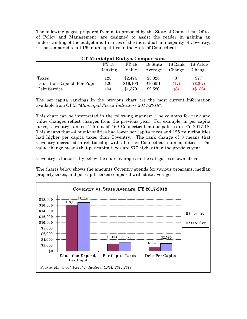The following pages, prepared from data provided by the State of Connecticut Office of Policy and Management, are designed to assist the reader in gaining an understanding of the budget and finances of the individual municipality of Coventry, CT as compared to all 169 municipalities in the State of Connecticut.

| <b>CT Municipal Budget Comparisons</b> |              |              |          |         |           |  |  |
|----------------------------------------|--------------|--------------|----------|---------|-----------|--|--|
|                                        | <b>FY 18</b> | <b>FY 18</b> | 18 State | 18 Rank | 18 Value  |  |  |
|                                        | Ranking      | Value        | Average  | Change  | Change    |  |  |
| Taxes                                  | 125          | \$2,474      | \$3,028  | 3       | \$77      |  |  |
| Education Expend, Per Pupil            | 120          | \$16,103     | \$16,951 | (17)    | $(\$207)$ |  |  |
| Debt Service                           | 104          | \$1,370      | \$2,580  | (8)     | (\$136)   |  |  |

The per capita rankings in the previous chart are the most current information available from OPM *"Municipal Fiscal Indicators 2014-2018".*

This chart can be interpreted in the following manner: The columns for rank and value changes reflect changes from the previous year. For example, in per capita taxes, Coventry ranked 125 out of 169 Connecticut municipalities in FY 2017-18. This means that 44 municipalities had lower per capita taxes and 125 municipalities had higher per capita taxes than Coventry. The rank change of 3 means that Coventry increased in relationship with all other Connecticut municipalities. The value change means that per capita taxes are \$77 higher than the previous year.

Coventry is historically below the state averages in the categories shown above.

The charts below shows the amounts Coventry spends for various programs, median property taxes, and per capita taxes compared with state averages.

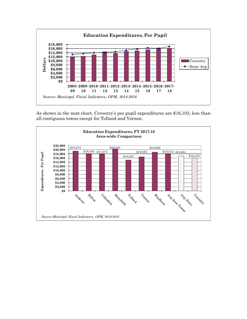

As shown in the next chart, Coventry's per pupil expenditures are \$16,103, less than all contiguous towns except for Tolland and Vernon.

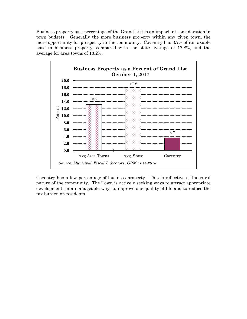Business property as a percentage of the Grand List is an important consideration in town budgets. Generally the more business property within any given town, the more opportunity for prosperity in the community. Coventry has 3.7% of its taxable base in business property, compared with the state average of 17.8%, and the average for area towns of 13.2%.



Coventry has a low percentage of business property. This is reflective of the rural nature of the community. The Town is actively seeking ways to attract appropriate development, in a manageable way, to improve our quality of life and to reduce the tax burden on residents.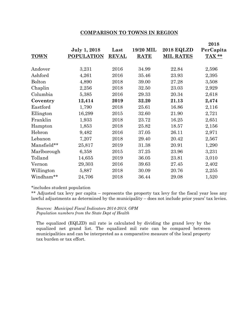#### **COMPARISON TO TOWNS IN REGION**

| <b>TOWN</b>   | <b>July 1, 2018</b><br><b>POPULATION</b> | Last<br><b>REVAL</b> | 19/20 MIL<br><b>RATE</b> | <b>2018 EQLZD</b><br><b>MIL RATES</b> | 2018<br>PerCapita<br>TAX ** |
|---------------|------------------------------------------|----------------------|--------------------------|---------------------------------------|-----------------------------|
| Andover       | 3,231                                    | 2016                 | 34.99                    | 22.84                                 | 2,596                       |
| Ashford       | 4,261                                    | 2016                 | 35.46                    | 23.93                                 | 2,395                       |
| <b>Bolton</b> | 4,890                                    | 2018                 | 39.00                    | 27.28                                 | 3,508                       |
| Chaplin       | 2,256                                    | 2018                 | 32.50                    | 23.03                                 | 2,929                       |
| Columbia      | 5,385                                    | 2016                 | 29.33                    | 20.34                                 | 2,618                       |
| Coventry      | 12,414                                   | 2019                 | 32.20                    | 21.13                                 | 2,474                       |
| Eastford      | 1,790                                    | 2018                 | 25.61                    | 16.86                                 | 2,116                       |
| Ellington     | 16,299                                   | 2015                 | 32.60                    | 21.90                                 | 2,721                       |
| Franklin      | 1,933                                    | 2018                 | 23.72                    | 16.25                                 | 2,651                       |
| Hampton       | 1,853                                    | 2018                 | 25.82                    | 18.57                                 | 2,156                       |
| Hebron        | 9,482                                    | 2016                 | 37.05                    | 26.11                                 | 2,971                       |
| Lebanon       | 7,207                                    | 2018                 | 29.40                    | 20.42                                 | 2,567                       |
| Mansfield**   | 25,817                                   | 2019                 | 31.38                    | 20.91                                 | 1,290                       |
| Marlborough   | 6,358                                    | 2015                 | 37.25                    | 23.96                                 | 3,231                       |
| Tolland       | 14,655                                   | 2019                 | 36.05                    | 23.81                                 | 3,010                       |
| Vernon        | 29,303                                   | 2016                 | 39.63                    | 27.45                                 | 2,402                       |
| Willington    | 5,887                                    | 2018                 | 30.09                    | 20.76                                 | 2,255                       |
| Windham**     | 24,706                                   | 2018                 | 36.44                    | 29.08                                 | 1,520                       |

#### \*includes student population

\*\* Adjusted tax levy per capita – represents the property tax levy for the fiscal year less any lawful adjustments as determined by the municipality – does not include prior years' tax levies.

*Sources: Municipal Fiscal Indicators 2014-2018, OPM Population numbers from the State Dept of Health* 

The equalized (EQLZD) mil rate is calculated by dividing the grand levy by the equalized net grand list. The equalized mil rate can be compared between municipalities and can be interpreted as a comparative measure of the local property tax burden or tax effort.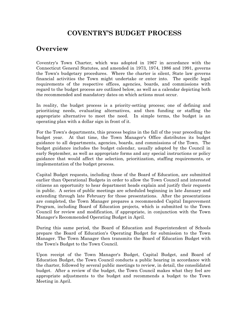### **COVENTRY'S BUDGET PROCESS**

### **Overview**

Coventry's Town Charter, which was adopted in 1967 in accordance with the Connecticut General Statutes, and amended in 1973, 1974, 1986 and 1991, governs the Town's budgetary procedures. Where the charter is silent, State law governs financial activities the Town might undertake or enter into. The specific legal requirements of the respective offices, agencies, boards, and commissions with regard to the budget process are outlined below, as well as a calendar depicting both the recommended and mandatory dates on which actions must occur.

In reality, the budget process is a priority-setting process; one of defining and prioritizing needs, evaluating alternatives, and then funding or staffing the appropriate alternative to meet the need. In simple terms, the budget is an operating plan with a dollar sign in front of it.

For the Town's departments, this process begins in the fall of the year preceding the budget year. At that time, the Town Manager's Office distributes its budget guidance to all departments, agencies, boards, and commissions of the Town. The budget guidance includes the budget calendar, usually adopted by the Council in early September, as well as appropriate forms and any special instructions or policy guidance that would affect the selection, prioritization, staffing requirements, or implementation of the budget process.

Capital Budget requests, including those of the Board of Education, are submitted earlier than Operational Budgets in order to allow the Town Council and interested citizens an opportunity to hear department heads explain and justify their requests in public. A series of public meetings are scheduled beginning in late January and extending through late February for those presentations. After the presentations are completed, the Town Manager prepares a recommended Capital Improvement Program, including Board of Education projects, which is submitted to the Town Council for review and modification, if appropriate, in conjunction with the Town Manager's Recommended Operating Budget in April.

During this same period, the Board of Education and Superintendent of Schools prepare the Board of Education's Operating Budget for submission to the Town Manager. The Town Manager then transmits the Board of Education Budget with the Town's Budget to the Town Council.

Upon receipt of the Town Manager's Budget, Capital Budget, and Board of Education Budget, the Town Council conducts a public hearing in accordance with the charter, followed by several public meetings to review, in detail, the consolidated budget. After a review of the budget, the Town Council makes what they feel are appropriate adjustments to the budget and recommends a budget to the Town Meeting in April.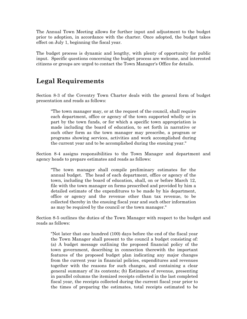The Annual Town Meeting allows for further input and adjustment to the budget prior to adoption, in accordance with the charter. Once adopted, the budget takes effect on July 1, beginning the fiscal year.

The budget process is dynamic and lengthy, with plenty of opportunity for public input. Specific questions concerning the budget process are welcome, and interested citizens or groups are urged to contact the Town Manager's Office for details.

### **Legal Requirements**

Section 8-3 of the Coventry Town Charter deals with the general form of budget presentation and reads as follows:

"The town manager may, or at the request of the council, shall require each department, office or agency of the town supported wholly or in part by the town funds, or for which a specific town appropriation is made including the board of education, to set forth in narrative or such other form as the town manager may prescribe, a program or programs showing services, activities and work accomplished during the current year and to be accomplished during the ensuing year."

Section 8-4 assigns responsibilities to the Town Manager and department and agency heads to prepare estimates and reads as follows:

"The town manager shall compile preliminary estimates for the annual budget. The head of each department, office or agency of the town, including the board of education, shall, on or before March 12, file with the town manager on forms prescribed and provided by him a detailed estimate of the expenditures to be made by his department, office or agency and the revenue other than tax revenue, to be collected thereby in the ensuing fiscal year and such other information as may be required by the council or the town manager."

Section 8-5 outlines the duties of the Town Manager with respect to the budget and reads as follows:

"Not later that one hundred (100) days before the end of the fiscal year the Town Manager shall present to the council a budget consisting of: (a) A budget message outlining the proposed financial policy of the town government, describing in connection therewith the important features of the proposed budget plan indicating any major changes from the current year in financial policies, expenditures and revenues together with the reasons for such changes, and containing a clear general summary of its contents; (b) Estimates of revenue, presenting in parallel columns the itemized receipts collected in the last completed fiscal year, the receipts collected during the current fiscal year prior to the times of preparing the estimates, total receipts estimated to be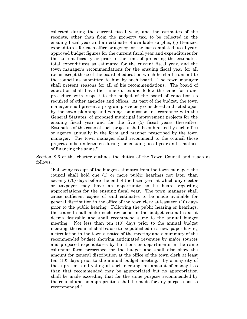collected during the current fiscal year, and the estimates of the receipts, other than from the property tax, to be collected in the ensuing fiscal year and an estimate of available surplus; (c) Itemized expenditures for each office or agency for the last completed fiscal year, approved budget figures for the current fiscal year and expenditures for the current fiscal year prior to the time of preparing the estimates, total expenditures as estimated for the current fiscal year, and the town manager's recommendations for the ensuing fiscal year for all items except those of the board of education which he shall transmit to the council as submitted to him by such board. The town manager shall present reasons for all of his recommendations. The board of education shall have the same duties and follow the same form and procedure with respect to the budget of the board of education as required of other agencies and offices. As part of the budget, the town manager shall present a program previously considered and acted upon by the town planning and zoning commission in accordance with the General Statutes, of proposed municipal improvement projects for the ensuing fiscal year and for the five (5) fiscal years thereafter. Estimates of the costs of such projects shall be submitted by each office or agency annually in the form and manner prescribed by the town manager. The town manager shall recommend to the council those projects to be undertaken during the ensuing fiscal year and a method of financing the same."

Section 8-6 of the charter outlines the duties of the Town Council and reads as follows:

"Following receipt of the budget estimates from the town manager, the council shall hold one (1) or more public hearings not later than seventy (70) days before the end of the fiscal year at which any elector or taxpayer may have an opportunity to be heard regarding appropriations for the ensuing fiscal year. The town manager shall cause sufficient copies of said estimates to be made available for general distribution in the office of the town clerk at least ten (10) days prior to the public hearing. Following the public hearing or hearings, the council shall make such revisions in the budget estimates as it deems desirable and shall recommend same to the annual budget meeting. Not less than ten (10) days prior to the annual budget meeting, the council shall cause to be published in a newspaper having a circulation in the town a notice of the meeting and a summary of the recommended budget showing anticipated revenues by major sources and proposed expenditures by functions or departments in the same columnar form prescribed for the budget and shall also show the amount for general distribution at the office of the town clerk at least ten (10) days prior to the annual budget meeting. By a majority of those present and voting at such meeting, an amount of money less than that recommended may be appropriated but no appropriation shall be made exceeding that for the same purpose recommended by the council and no appropriation shall be made for any purpose not so recommended."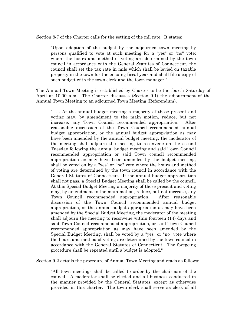Section 8-7 of the Charter calls for the setting of the mil rate. It states:

"Upon adoption of the budget by the adjourned town meeting by persons qualified to vote at such meeting for a "yes" or "no" vote; where the hours and method of voting are determined by the town council in accordance with the General Statutes of Connecticut, the council shall set the tax rate in mils which shall be levied on taxable property in the town for the ensuing fiscal year and shall file a copy of such budget with the town clerk and the town manager."

The Annual Town Meeting is established by Charter to be the fourth Saturday of April at 10:00 a.m. The Charter discusses (Section 9.1) the adjournment of the Annual Town Meeting to an adjourned Town Meeting (Referendum).

". . . At the annual budget meeting a majority of those present and voting may, by amendment to the main motion, reduce, but not increase, any Town Council recommended appropriation. After reasonable discussion of the Town Council recommended annual budget appropriation, or the annual budget appropriation as may have been amended by the annual budget meeting, the moderator of the meeting shall adjourn the meeting to reconvene on the second Tuesday following the annual budget meeting and said Town Council recommended appropriation or said Town council recommended appropriation as may have been amended by the budget meeting, shall be voted on by a "yes" or "no" vote where the hours and method of voting are determined by the town council in accordance with the General Statutes of Connecticut. If the annual budget appropriation shall not pass, a Special Budget Meeting shall be called by the council. At this Special Budget Meeting a majority of those present and voting may, by amendment to the main motion, reduce, but not increase, any Town Council recommended appropriation. After reasonable discussion of the Town Council recommended annual budget appropriation, or the annual budget appropriation as may have been amended by the Special Budget Meeting, the moderator of the meeting shall adjourn the meeting to reconvene within fourteen (14) days and said Town Council recommended appropriation, or said Town Council recommended appropriation as may have been amended by the Special Budget Meeting, shall be voted by a "yes" or "no" vote where the hours and method of voting are determined by the town council in accordance with the General Statutes of Connecticut. The foregoing procedure shall be repeated until a budget is adopted."

Section 9-2 details the procedure of Annual Town Meeting and reads as follows:

"All town meetings shall be called to order by the chairman of the council. A moderator shall be elected and all business conducted in the manner provided by the General Statutes, except as otherwise provided in this charter. The town clerk shall serve as clerk of all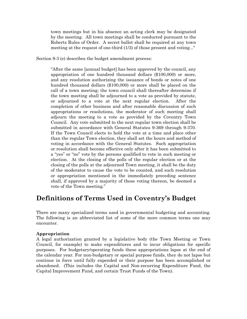town meetings but in his absence an acting clerk may be designated by the meeting. All town meetings shall be conducted pursuant to the Roberts Rules of Order. A secret ballot shall be required at any town meeting at the request of one-third (1/3) of those present and voting..."

Section 9-3 (e) describes the budget amendment process:

"After the same [annual budget] has been approved by the council, any appropriation of one hundred thousand dollars (\$100,000) or more, and any resolution authorizing the issuance of bonds or notes of one hundred thousand dollars (\$100,000) or more shall be placed on the call of a town meeting; the town council shall thereafter determine if the town meeting shall be adjourned to a vote as provided by statute, or adjourned to a vote at the next regular election. After the completion of other business and after reasonable discussion of such appropriations or resolutions, the moderator of such meeting shall adjourn the meeting to a vote as provided by the Coventry Town Council. Any vote submitted to the next regular town election shall be submitted in accordance with General Statutes 9-369 through 9-370. If the Town Council elects to hold the vote at a time and place other than the regular Town election, they shall set the hours and method of voting in accordance with the General Statutes. Such appropriation or resolution shall become effective only after it has been submitted to a "yes" or "no" vote by the persons qualified to vote in such meeting or election. At the closing of the polls of the regular election or at the closing of the polls at the adjourned Town meeting, it shall be the duty of the moderator to cause the vote to be counted, and such resolution or appropriation mentioned in the immediately preceding sentence shall, if approved by a majority of those voting thereon, be deemed a vote of the Town meeting."

### **Definitions of Terms Used in Coventry's Budget**

There are many specialized terms used in governmental budgeting and accounting. The following is an abbreviated list of some of the more common terms one may encounter.

#### **Appropriation**

A legal authorization granted by a legislative body (the Town Meeting or Town Council, for example) to make expenditures and to incur obligations for specific purposes. For budgetary/operating funds these appropriations lapse at the end of the calendar year. For non-budgetary or special purpose funds, they do not lapse but continue in force until fully expended or their purpose has been accomplished or abandoned. (This includes the Capital and Non-recurring Expenditure Fund, the Capital Improvement Fund, and certain Trust Funds of the Town).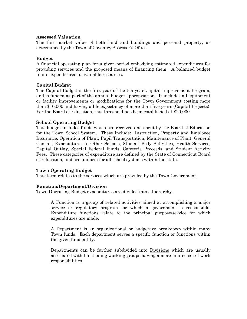#### **Assessed Valuation**

The fair market value of both land and buildings and personal property, as determined by the Town of Coventry Assessor's Office.

#### **Budget**

A financial operating plan for a given period embodying estimated expenditures for providing services and the proposed means of financing them. A balanced budget limits expenditures to available resources.

#### **Capital Budget**

The Capital Budget is the first year of the ten-year Capital Improvement Program, and is funded as part of the annual budget appropriation. It includes all equipment or facility improvements or modifications for the Town Government costing more than \$10,000 and having a life expectancy of more than five years (Capital Projects). For the Board of Education, this threshold has been established at \$20,000.

#### **School Operating Budget**

This budget includes funds which are received and spent by the Board of Education for the Town School System. These include: Instruction, Property and Employee Insurance, Operation of Plant, Pupil Transportation, Maintenance of Plant, General Control, Expenditures to Other Schools, Student Body Activities, Health Services, Capital Outlay, Special Federal Funds, Cafeteria Proceeds, and Student Activity Fees. These categories of expenditure are defined by the State of Connecticut Board of Education, and are uniform for all school systems within the state.

#### **Town Operating Budget**

This term relates to the services which are provided by the Town Government.

#### **Function/Department/Division**

Town Operating Budget expenditures are divided into a hierarchy.

A Function is a group of related activities aimed at accomplishing a major service or regulatory program for which a government is responsible. Expenditure functions relate to the principal purpose/service for which expenditures are made.

A Department is an organizational or budgetary breakdown within many Town funds. Each department serves a specific function or functions within the given fund entity.

Departments can be further subdivided into Divisions which are usually associated with functioning working groups having a more limited set of work responsibilities.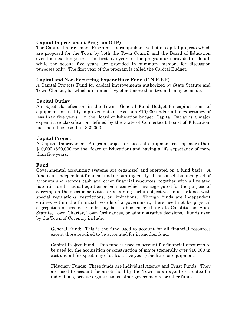#### **Capital Improvement Program (CIP)**

The Capital Improvement Program is a comprehensive list of capital projects which are proposed for the Town by both the Town Council and the Board of Education over the next ten years. The first five years of the program are provided in detail, while the second five years are provided in summary fashion, for discussion purposes only. The first year of the program is called the Capital Budget.

#### **Capital and Non-Recurring Expenditure Fund (C.N.R.E.F)**

A Capital Projects Fund for capital improvements authorized by State Statute and Town Charter, for which an annual levy of not more than two mils may be made.

#### **Capital Outlay**

An object classification in the Town's General Fund Budget for capital items of equipment, or facility improvements of less than \$10,000 and/or a life expectancy of less than five years. In the Board of Education budget, Capital Outlay is a major expenditure classification defined by the State of Connecticut Board of Education, but should be less than \$20,000.

#### **Capital Project**

A Capital Improvement Program project or piece of equipment costing more than \$10,000 (\$20,000 for the Board of Education) and having a life expectancy of more than five years.

#### **Fund**

Governmental accounting systems are organized and operated on a fund basis. A fund is an independent financial and accounting entity. It has a self-balancing set of accounts and records cash and other financial resources, together with all related liabilities and residual equities or balances which are segregated for the purpose of carrying on the specific activities or attaining certain objectives in accordance with special regulations, restrictions, or limitations. Though funds are independent entities within the financial records of a government, there need not be physical segregation of assets. Funds may be established by the State Constitution, State Statute, Town Charter, Town Ordinances, or administrative decisions. Funds used by the Town of Coventry include:

General Fund: This is the fund used to account for all financial resources except those required to be accounted for in another fund.

Capital Project Fund: This fund is used to account for financial resources to be used for the acquisition or construction of major (generally over \$10,000 in cost and a life expectancy of at least five years) facilities or equipment.

Fiduciary Funds: These funds are individual Agency and Trust Funds. They are used to account for assets held by the Town as an agent or trustee for individuals, private organizations, other governments, or other funds.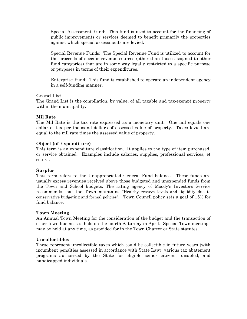Special Assessment Fund: This fund is used to account for the financing of public improvements or services deemed to benefit primarily the properties against which special assessments are levied.

Special Revenue Funds: The Special Revenue Fund is utilized to account for the proceeds of specific revenue sources (other than those assigned to other fund categories) that are in some way legally restricted to a specific purpose or purposes in terms of their expenditures.

Enterprise Fund: This fund is established to operate an independent agency in a self-funding manner.

#### **Grand List**

The Grand List is the compilation, by value, of all taxable and tax-exempt property within the municipality.

#### **Mil Rate**

The Mil Rate is the tax rate expressed as a monetary unit. One mil equals one dollar of tax per thousand dollars of assessed value of property. Taxes levied are equal to the mil rate times the assessed value of property.

#### **Object (of Expenditure)**

This term is an expenditure classification. It applies to the type of item purchased, or service obtained. Examples include salaries, supplies, professional services, et cetera.

#### **Surplus**

This term refers to the Unappropriated General Fund balance. These funds are usually excess revenues received above those budgeted and unexpended funds from the Town and School budgets. The rating agency of Moody's Investors Service recommends that the Town maintains "Healthy reserve levels and liquidity due to conservative budgeting and formal policies". Town Council policy sets a goal of 15% for fund balance.

#### **Town Meeting**

An Annual Town Meeting for the consideration of the budget and the transaction of other town business is held on the fourth Saturday in April. Special Town meetings may be held at any time, as provided for in the Town Charter or State statutes.

#### **Uncollectibles**

These represent uncollectible taxes which could be collectible in future years (with incumbent penalties assessed in accordance with State Law), various tax abatement programs authorized by the State for eligible senior citizens, disabled, and handicapped individuals.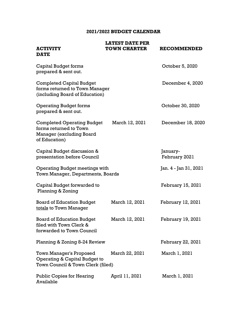#### **2021/2022 BUDGET CALENDAR**

| <b>ACTIVITY</b>                                                                                                 | <b>LATEST DATE PER</b><br><b>TOWN CHARTER</b> | <b>RECOMMENDED</b>        |
|-----------------------------------------------------------------------------------------------------------------|-----------------------------------------------|---------------------------|
| <b>DATE</b>                                                                                                     |                                               |                           |
| <b>Capital Budget forms</b><br>prepared & sent out.                                                             |                                               | October 5, 2020           |
| <b>Completed Capital Budget</b><br>forms returned to Town Manager<br>(including Board of Education)             |                                               | December 4, 2020          |
| <b>Operating Budget forms</b><br>prepared & sent out.                                                           |                                               | October 30, 2020          |
| <b>Completed Operating Budget</b><br>forms returned to Town<br><b>Manager (excluding Board</b><br>of Education) | March 12, 2021                                | December 18, 2020         |
| Capital Budget discussion &<br>presentation before Council                                                      |                                               | January-<br>February 2021 |
| <b>Operating Budget meetings with</b><br>Town Manager, Departments, Boards                                      |                                               | Jan. 4 - Jan 31, 2021     |
| Capital Budget forwarded to<br>Planning & Zoning                                                                |                                               | February 15, 2021         |
| <b>Board of Education Budget</b><br>totals to Town Manager                                                      | March 12, 2021                                | February 12, 2021         |
| <b>Board of Education Budget</b><br>filed with Town Clerk &<br>forwarded to Town Council                        | March 12, 2021                                | February 19, 2021         |
| Planning & Zoning 8-24 Review                                                                                   |                                               | February 22, 2021         |
| Town Manager's Proposed<br>Operating & Capital Budget to<br>Town Council & Town Clerk (filed)                   | March 22, 2021                                | March 1, 2021             |
| <b>Public Copies for Hearing</b><br>Available                                                                   | April 11, 2021                                | March 1, 2021             |